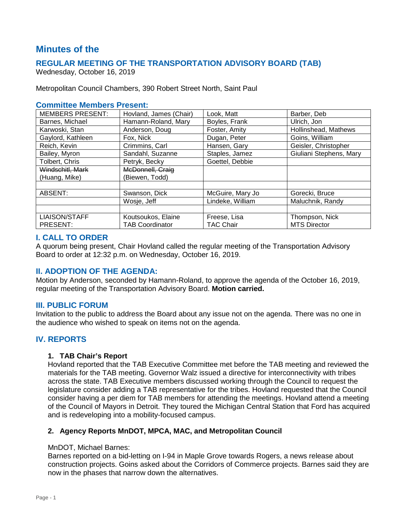# **Minutes of the**

# **REGULAR MEETING OF THE TRANSPORTATION ADVISORY BOARD (TAB)**

Wednesday, October 16, 2019

Metropolitan Council Chambers, 390 Robert Street North, Saint Paul

#### **Committee Members Present:**

| <b>MEMBERS PRESENT:</b> | Hovland, James (Chair) | Look, Matt       | Barber, Deb             |
|-------------------------|------------------------|------------------|-------------------------|
| Barnes, Michael         | Hamann-Roland, Mary    | Boyles, Frank    | Ulrich, Jon             |
| Karwoski, Stan          | Anderson, Doug         | Foster, Amity    | Hollinshead, Mathews    |
| Gaylord, Kathleen       | Fox, Nick              | Dugan, Peter     | Goins, William          |
| Reich, Kevin            | Crimmins, Carl         | Hansen, Gary     | Geisler, Christopher    |
| Bailey, Myron           | Sandahl, Suzanne       | Staples, Jamez   | Giuliani Stephens, Mary |
| Tolbert, Chris          | Petryk, Becky          | Goettel, Debbie  |                         |
| Windschitl, Mark        | McDonnell, Craig       |                  |                         |
| (Huang, Mike)           | (Biewen. Todd)         |                  |                         |
|                         |                        |                  |                         |
| ABSENT:                 | Swanson, Dick          | McGuire, Mary Jo | Gorecki, Bruce          |
|                         | Wosje, Jeff            | Lindeke, William | Maluchnik, Randy        |
|                         |                        |                  |                         |
| <b>LIAISON/STAFF</b>    | Koutsoukos, Elaine     | Freese, Lisa     | Thompson, Nick          |
| PRESENT:                | TAB Coordinator        | TAC Chair        | <b>MTS Director</b>     |

## **I. CALL TO ORDER**

A quorum being present, Chair Hovland called the regular meeting of the Transportation Advisory Board to order at 12:32 p.m. on Wednesday, October 16, 2019.

# **II. ADOPTION OF THE AGENDA:**

Motion by Anderson, seconded by Hamann-Roland, to approve the agenda of the October 16, 2019, regular meeting of the Transportation Advisory Board. **Motion carried.**

#### **III. PUBLIC FORUM**

Invitation to the public to address the Board about any issue not on the agenda. There was no one in the audience who wished to speak on items not on the agenda.

# **IV. REPORTS**

#### **1. TAB Chair's Report**

Hovland reported that the TAB Executive Committee met before the TAB meeting and reviewed the materials for the TAB meeting. Governor Walz issued a directive for interconnectivity with tribes across the state. TAB Executive members discussed working through the Council to request the legislature consider adding a TAB representative for the tribes. Hovland requested that the Council consider having a per diem for TAB members for attending the meetings. Hovland attend a meeting of the Council of Mayors in Detroit. They toured the Michigan Central Station that Ford has acquired and is redeveloping into a mobility-focused campus.

#### **2. Agency Reports MnDOT, MPCA, MAC, and Metropolitan Council**

#### MnDOT, Michael Barnes:

Barnes reported on a bid-letting on I-94 in Maple Grove towards Rogers, a news release about construction projects. Goins asked about the Corridors of Commerce projects. Barnes said they are now in the phases that narrow down the alternatives.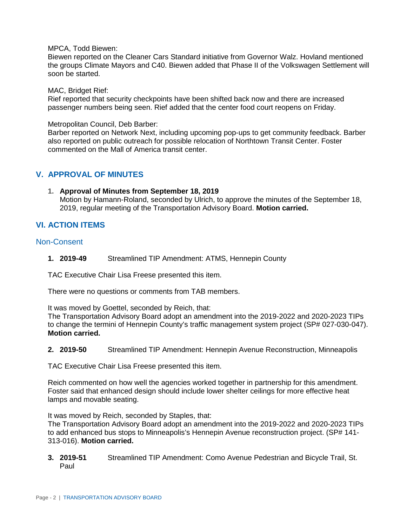MPCA, Todd Biewen:

Biewen reported on the Cleaner Cars Standard initiative from Governor Walz. Hovland mentioned the groups Climate Mayors and C40. Biewen added that Phase II of the Volkswagen Settlement will soon be started.

MAC, Bridget Rief:

Rief reported that security checkpoints have been shifted back now and there are increased passenger numbers being seen. Rief added that the center food court reopens on Friday.

Metropolitan Council, Deb Barber:

Barber reported on Network Next, including upcoming pop-ups to get community feedback. Barber also reported on public outreach for possible relocation of Northtown Transit Center. Foster commented on the Mall of America transit center.

## **V. APPROVAL OF MINUTES**

**1. Approval of Minutes from September 18, 2019** Motion by Hamann-Roland, seconded by Ulrich, to approve the minutes of the September 18, 2019, regular meeting of the Transportation Advisory Board. **Motion carried.**

## **VI. ACTION ITEMS**

#### Non-Consent

**1. 2019-49** Streamlined TIP Amendment: ATMS, Hennepin County

TAC Executive Chair Lisa Freese presented this item.

There were no questions or comments from TAB members.

It was moved by Goettel, seconded by Reich, that:

The Transportation Advisory Board adopt an amendment into the 2019-2022 and 2020-2023 TIPs to change the termini of Hennepin County's traffic management system project (SP# 027-030-047). **Motion carried.**

**2. 2019-50** Streamlined TIP Amendment: Hennepin Avenue Reconstruction, Minneapolis

TAC Executive Chair Lisa Freese presented this item.

Reich commented on how well the agencies worked together in partnership for this amendment. Foster said that enhanced design should include lower shelter ceilings for more effective heat lamps and movable seating.

It was moved by Reich, seconded by Staples, that:

The Transportation Advisory Board adopt an amendment into the 2019-2022 and 2020-2023 TIPs to add enhanced bus stops to Minneapolis's Hennepin Avenue reconstruction project. (SP# 141- 313-016). **Motion carried.**

**3. 2019-51** Streamlined TIP Amendment: Como Avenue Pedestrian and Bicycle Trail, St. Paul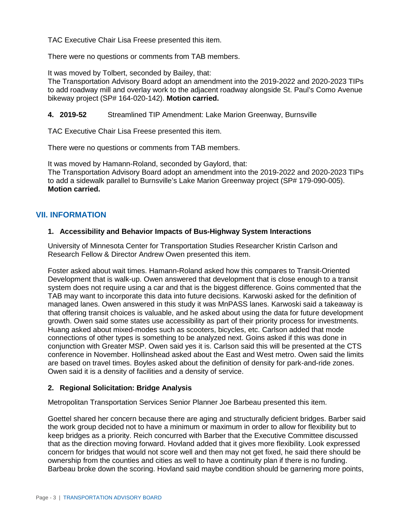TAC Executive Chair Lisa Freese presented this item.

There were no questions or comments from TAB members.

It was moved by Tolbert, seconded by Bailey, that:

The Transportation Advisory Board adopt an amendment into the 2019-2022 and 2020-2023 TIPs to add roadway mill and overlay work to the adjacent roadway alongside St. Paul's Como Avenue bikeway project (SP# 164-020-142). **Motion carried.**

**4. 2019-52** Streamlined TIP Amendment: Lake Marion Greenway, Burnsville

TAC Executive Chair Lisa Freese presented this item.

There were no questions or comments from TAB members.

It was moved by Hamann-Roland, seconded by Gaylord, that: The Transportation Advisory Board adopt an amendment into the 2019-2022 and 2020-2023 TIPs to add a sidewalk parallel to Burnsville's Lake Marion Greenway project (SP# 179-090-005). **Motion carried.**

# **VII. INFORMATION**

#### **1. Accessibility and Behavior Impacts of Bus-Highway System Interactions**

University of Minnesota Center for Transportation Studies Researcher Kristin Carlson and Research Fellow & Director Andrew Owen presented this item.

Foster asked about wait times. Hamann-Roland asked how this compares to Transit-Oriented Development that is walk-up. Owen answered that development that is close enough to a transit system does not require using a car and that is the biggest difference. Goins commented that the TAB may want to incorporate this data into future decisions. Karwoski asked for the definition of managed lanes. Owen answered in this study it was MnPASS lanes. Karwoski said a takeaway is that offering transit choices is valuable, and he asked about using the data for future development growth. Owen said some states use accessibility as part of their priority process for investments. Huang asked about mixed-modes such as scooters, bicycles, etc. Carlson added that mode connections of other types is something to be analyzed next. Goins asked if this was done in conjunction with Greater MSP. Owen said yes it is. Carlson said this will be presented at the CTS conference in November. Hollinshead asked about the East and West metro. Owen said the limits are based on travel times. Boyles asked about the definition of density for park-and-ride zones. Owen said it is a density of facilities and a density of service.

## **2. Regional Solicitation: Bridge Analysis**

Metropolitan Transportation Services Senior Planner Joe Barbeau presented this item.

Goettel shared her concern because there are aging and structurally deficient bridges. Barber said the work group decided not to have a minimum or maximum in order to allow for flexibility but to keep bridges as a priority. Reich concurred with Barber that the Executive Committee discussed that as the direction moving forward. Hovland added that it gives more flexibility. Look expressed concern for bridges that would not score well and then may not get fixed, he said there should be ownership from the counties and cities as well to have a continuity plan if there is no funding. Barbeau broke down the scoring. Hovland said maybe condition should be garnering more points,